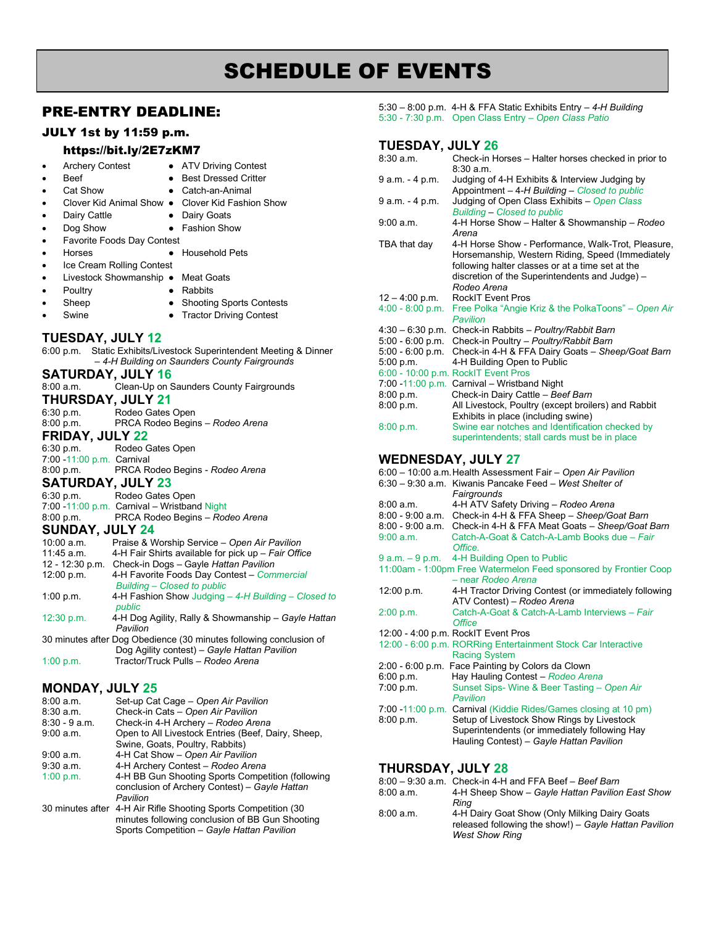# SCHEDULE OF EVENTS

# PRE-ENTRY DEADLINE:

## JULY 1st by 11:59 p.m.

#### <https://bit.ly/2E7zKM7>

- Archery Contest ATV Driving Contest
- 
- **Beef** Best Dressed Critter • Cat Show • Catch-an-Animal
- - Clover Kid Animal Show Clover Kid Fashion Show
	- **Dairy Cattle Dairy Goats**
	- Dog Show Fashion Show
- Favorite Foods Day Contest
- Horses Household Pets
- Ice Cream Rolling Contest
- Livestock Showmanship Meat Goats
	- Poultry  **Rabbits**
- 
- 
- Sheep Shooting Sports Contests • Swine ● Tractor Driving Contest
- **TUESDAY, JULY 12**

| IULUUAI, JULI 14                                                                  |  |  |
|-----------------------------------------------------------------------------------|--|--|
| 6:00 p.m. Static Exhibits/Livestock Superintendent Meeting & Dinner               |  |  |
| -4-H Building on Saunders County Fairgrounds                                      |  |  |
| <b>SATURDAY, JULY 16</b>                                                          |  |  |
| 8:00 a.m. Clean-Up on Saunders County Fairgrounds                                 |  |  |
| <b>THURSDAY, JULY 21</b>                                                          |  |  |
| 6:30 p.m. Rodeo Gates Open                                                        |  |  |
| 8:00 p.m. PRCA Rodeo Begins - Rodeo Arena                                         |  |  |
| <b>FRIDAY, JULY 22</b>                                                            |  |  |
| 6:30 p.m. Rodeo Gates Open                                                        |  |  |
| 7:00 -11:00 p.m. Carnival                                                         |  |  |
| 8:00 p.m. PRCA Rodeo Begins - Rodeo Arena                                         |  |  |
| <b>SATURDAY, JULY 23</b>                                                          |  |  |
| 6:30 p.m. Rodeo Gates Open                                                        |  |  |
| 7:00 -11:00 p.m. Carnival - Wristband Night                                       |  |  |
| 8:00 p.m. PRCA Rodeo Begins - Rodeo Arena                                         |  |  |
| <b>SUNDAY, JULY 24</b>                                                            |  |  |
| 10:00 a.m.<br>Praise & Worship Service - Open Air Pavilion                        |  |  |
| 11:45 a.m. 4-H Fair Shirts available for pick up - Fair Office                    |  |  |
| 12 - 12:30 p.m. Check-in Dogs - Gayle Hattan Pavilion                             |  |  |
| 4-H Favorite Foods Day Contest - Commercial<br><b>Building - Closed to public</b> |  |  |
| 4-H Fashion Show Judging - 4-H Building - Closed to<br>public                     |  |  |
| 4-H Dog Agility, Rally & Showmanship - Gayle Hattan<br>Pavilion                   |  |  |
| 30 minutes after Dog Obedience (30 minutes following conclusion of                |  |  |
|                                                                                   |  |  |

Dog Agility contest) – *Gayle Hattan Pavilion* 1:00 p.m. Tractor/Truck Pulls – *Rodeo Arena*

# **MONDAY, JULY 25**

| 8:00 a.m.       | Set-up Cat Cage - Open Air Pavilion                             |
|-----------------|-----------------------------------------------------------------|
| 8:30a.m.        | Check-in Cats - Open Air Pavilion                               |
| $8:30 - 9$ a.m. | Check-in 4-H Archery - Rodeo Arena                              |
| 9:00 a.m.       | Open to All Livestock Entries (Beef, Dairy, Sheep,              |
|                 | Swine, Goats, Poultry, Rabbits)                                 |
| 9:00 a.m.       | 4-H Cat Show - Open Air Pavilion                                |
| $9:30$ a.m.     | 4-H Archery Contest - Rodeo Arena                               |
| 1:00 p.m.       | 4-H BB Gun Shooting Sports Competition (following               |
|                 | conclusion of Archery Contest) - Gayle Hattan                   |
|                 | Pavilion                                                        |
|                 | 30 minutes after 4-H Air Rifle Shooting Sports Competition (30) |
|                 | minutes following conclusion of BB Gun Shooting                 |
|                 | Sports Competition - Gayle Hattan Pavilion                      |

5:30 – 8:00 p.m. 4-H & FFA Static Exhibits Entry – *4-H Building*  5:30 - 7:30 p.m. Open Class Entry – *Open Class Patio*

# **TUESDAY, JULY 26**

| 8:30 a.m.          | Check-in Horses - Halter horses checked in prior to<br>8:30a.m. |
|--------------------|-----------------------------------------------------------------|
| 9 a.m. - 4 p.m.    | Judging of 4-H Exhibits & Interview Judging by                  |
|                    | Appointment - 4-H Building - Closed to public                   |
| 9 a.m. - 4 p.m.    | Judging of Open Class Exhibits - Open Class                     |
|                    | <b>Building - Closed to public</b>                              |
| 9:00 a.m.          | 4-H Horse Show - Halter & Showmanship - Rodeo                   |
|                    | Arena                                                           |
| TBA that day       | 4-H Horse Show - Performance, Walk-Trot, Pleasure,              |
|                    | Horsemanship, Western Riding, Speed (Immediately                |
|                    | following halter classes or at a time set at the                |
|                    | discretion of the Superintendents and Judge) -                  |
|                    | Rodeo Arena                                                     |
| $12 - 4.00$ p.m.   | <b>RockIT Event Pros</b>                                        |
| $4:00 - 8:00 p.m.$ | Free Polka "Angie Kriz & the PolkaToons" - Open Air             |
|                    | Pavilion                                                        |
|                    | 4:30 - 6:30 p.m. Check-in Rabbits - Poultry/Rabbit Barn         |
| $5:00 - 6:00 p.m.$ | Check-in Poultry - Poultry/Rabbit Barn                          |
| $5:00 - 6:00 p.m.$ | Check-in 4-H & FFA Dairy Goats - Sheep/Goat Barn                |
| 5:00 p.m.          | 4-H Building Open to Public                                     |
|                    | 6:00 - 10:00 p.m. RockIT Event Pros                             |
|                    | 7:00 -11:00 p.m. Carnival - Wristband Night                     |
| 8:00 p.m.          | Check-in Dairy Cattle - Beef Barn                               |
| 8.00 p.m.          | All Livestock, Poultry (except broilers) and Rabbit             |
|                    | Exhibits in place (including swine)                             |
| 8:00 p.m.          | Swine ear notches and Identification checked by                 |
|                    | superintendents; stall cards must be in place                   |

## **WEDNESDAY, JULY 27**

|                 | 6:00 - 10:00 a.m. Health Assessment Fair - Open Air Pavilion           |
|-----------------|------------------------------------------------------------------------|
|                 | 6:30 - 9:30 a.m. Kiwanis Pancake Feed - West Shelter of<br>Fairgrounds |
| 8:00a.m.        | 4-H ATV Safety Driving - Rodeo Arena                                   |
|                 | 8:00 - 9:00 a.m. Check-in 4-H & FFA Sheep - Sheep/Goat Barn            |
|                 | 8:00 - 9:00 a.m. Check-in 4-H & FFA Meat Goats - Sheep/Goat Barn       |
| 9:00 a.m.       | Catch-A-Goat & Catch-A-Lamb Books due - Fair                           |
|                 | Office                                                                 |
| 9 a.m. - 9 p.m. | 4-H Building Open to Public                                            |
|                 | 11:00am - 1:00pm Free Watermelon Feed sponsored by Frontier Coop       |
|                 | - near Rodeo Arena                                                     |
| 12:00 p.m.      | 4-H Tractor Driving Contest (or immediately following                  |
|                 | ATV Contest) - Rodeo Arena                                             |
| 2:00 p.m.       | Catch-A-Goat & Catch-A-Lamb Interviews - Fair                          |
|                 | <b>Office</b>                                                          |
|                 | 12:00 - 4:00 p.m. RockIT Event Pros                                    |
|                 | 12:00 - 6:00 p.m. RORRing Entertainment Stock Car Interactive          |
|                 | <b>Racing System</b>                                                   |
|                 | 2:00 - 6:00 p.m. Face Painting by Colors da Clown                      |
| 6:00 p.m.       | Hay Hauling Contest - Rodeo Arena                                      |
| 7:00 p.m.       | Sunset Sips- Wine & Beer Tasting - Open Air                            |
|                 | Pavilion                                                               |
|                 | 7:00 -11:00 p.m. Carnival (Kiddie Rides/Games closing at 10 pm)        |
| 8:00 p.m.       | Setup of Livestock Show Rings by Livestock                             |
|                 | Superintendents (or immediately following Hay                          |
|                 | Hauling Contest) - Gayle Hattan Pavilion                               |
|                 |                                                                        |
|                 |                                                                        |

#### **THURSDAY, JULY 28**

|           | $8:00 - 9:30$ a.m. Check-in 4-H and FFA Beef - Beef Barn |
|-----------|----------------------------------------------------------|
| 8:00 a.m. | 4-H Sheep Show - Gayle Hattan Pavilion East Show         |
|           | Rina                                                     |
| 8:00 a.m. | 4-H Dairy Goat Show (Only Milking Dairy Goats            |
|           | released following the show!) – Gayle Hattan Pavilion    |
|           | <b>West Show Ring</b>                                    |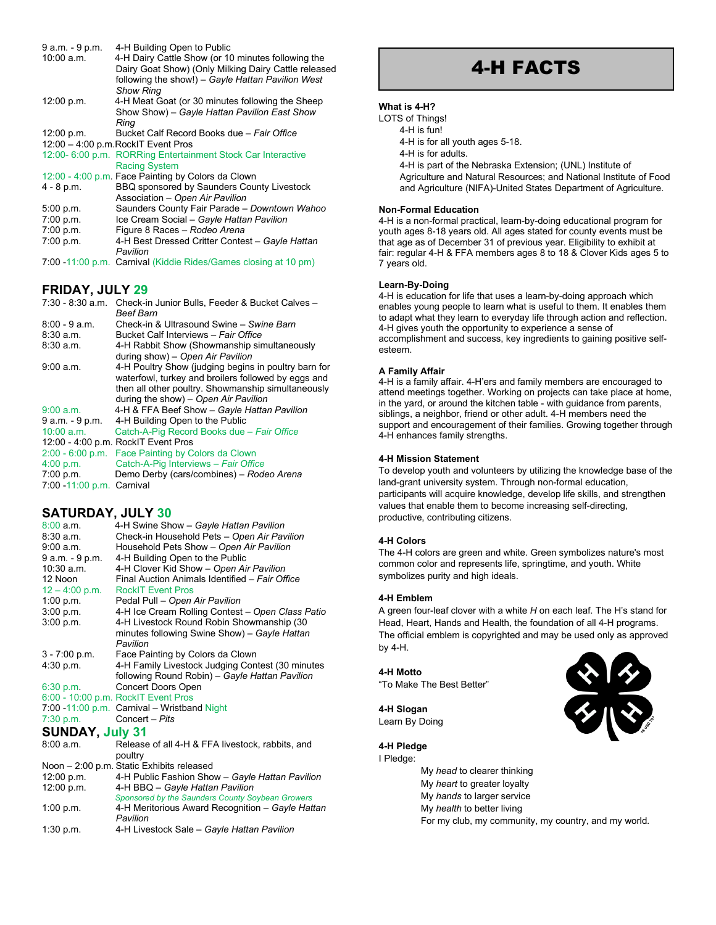| 9 a.m. - 9 p.m. | 4-H Building Open to Public                                     |
|-----------------|-----------------------------------------------------------------|
| 10:00 a.m.      | 4-H Dairy Cattle Show (or 10 minutes following the              |
|                 | Dairy Goat Show) (Only Milking Dairy Cattle released            |
|                 | following the show!) - Gayle Hattan Pavilion West               |
|                 | <b>Show Ring</b>                                                |
| 12:00 p.m.      | 4-H Meat Goat (or 30 minutes following the Sheep                |
|                 | Show Show) - Gayle Hattan Pavilion East Show                    |
|                 | Ring                                                            |
| 12:00 p.m.      | Bucket Calf Record Books due - Fair Office                      |
|                 | 12:00 - 4:00 p.m. RockIT Event Pros                             |
|                 | 12:00- 6:00 p.m. RORRing Entertainment Stock Car Interactive    |
|                 | <b>Racing System</b>                                            |
|                 | 12:00 - 4:00 p.m. Face Painting by Colors da Clown              |
| 4 - 8 p.m.      | BBQ sponsored by Saunders County Livestock                      |
|                 | Association - Open Air Pavilion                                 |
| 5.00 p.m.       | Saunders County Fair Parade - Downtown Wahoo                    |
| 7:00 p.m.       | Ice Cream Social - Gayle Hattan Pavilion                        |
| 7:00 p.m.       | Figure 8 Races - Rodeo Arena                                    |
| 7:00 p.m.       | 4-H Best Dressed Critter Contest - Gayle Hattan                 |
|                 | Pavilion                                                        |
|                 | 7:00 -11:00 p.m. Carnival (Kiddie Rides/Games closing at 10 pm) |

#### **FRIDAY, JULY 29**

| 7:30 - 8:30 a.m.          | Check-in Junior Bulls, Feeder & Bucket Calves -      |
|---------------------------|------------------------------------------------------|
|                           | <b>Beef Barn</b>                                     |
| $8.00 - 9$ a.m.           | Check-in & Ultrasound Swine - Swine Barn             |
| $8:30$ a.m.               | Bucket Calf Interviews - Fair Office                 |
| 8:30a.m.                  | 4-H Rabbit Show (Showmanship simultaneously          |
|                           | during show) – Open Air Pavilion                     |
| 9:00 a.m.                 | 4-H Poultry Show (judging begins in poultry barn for |
|                           | waterfowl, turkey and broilers followed by eggs and  |
|                           | then all other poultry. Showmanship simultaneously   |
|                           | during the show) - Open Air Pavilion                 |
| 9:00 a.m.                 | 4-H & FFA Beef Show - Gayle Hattan Pavilion          |
| $9$ a.m. $-9$ p.m.        | 4-H Building Open to the Public                      |
| 10:00 a.m.                | Catch-A-Pig Record Books due - Fair Office           |
|                           | 12:00 - 4:00 p.m. RockIT Event Pros                  |
| $2:00 - 6:00 p.m.$        | Face Painting by Colors da Clown                     |
| 4:00 p.m.                 | Catch-A-Pig Interviews - Fair Office                 |
| 7:00 p.m.                 | Demo Derby (cars/combines) – Rodeo Arena             |
| 7:00 -11:00 p.m. Carnival |                                                      |

# **SATURDAY, JULY 30**

| 8:00a.m.               | 4-H Swine Show - Gayle Hattan Pavilion           |
|------------------------|--------------------------------------------------|
| 8:30a.m.               | Check-in Household Pets - Open Air Pavilion      |
| 9:00 a.m.              |                                                  |
|                        | Household Pets Show - Open Air Pavilion          |
| 9 a.m. - 9 p.m.        | 4-H Building Open to the Public                  |
| 10:30 a.m.             | 4-H Clover Kid Show - Open Air Pavilion          |
| 12 Noon                | Final Auction Animals Identified - Fair Office   |
| $12 - 4:00$ p.m.       | <b>RockIT Event Pros</b>                         |
| 1:00 p.m.              | Pedal Pull - Open Air Pavilion                   |
| 3:00 p.m.              | 4-H Ice Cream Rolling Contest - Open Class Patio |
| 3:00 p.m.              | 4-H Livestock Round Robin Showmanship (30        |
|                        | minutes following Swine Show) - Gayle Hattan     |
|                        | Pavilion                                         |
| $3 - 7:00$ p.m.        | Face Painting by Colors da Clown                 |
| 4:30 p.m.              | 4-H Family Livestock Judging Contest (30 minutes |
|                        | following Round Robin) - Gayle Hattan Pavilion   |
| 6:30 p.m.              | <b>Concert Doors Open</b>                        |
|                        | 6:00 - 10:00 p.m. RockIT Event Pros              |
|                        | 7:00 -11:00 p.m. Carnival - Wristband Night      |
| 7:30 p.m.              | Concert - Pits                                   |
| <b>SUNDAY, July 31</b> |                                                  |
| 8:00a.m.               | Release of all 4-H & FFA livestock, rabbits, and |
|                        | poultry                                          |
|                        | Noon - 2:00 p.m. Static Exhibits released        |
| 12:00 p.m.             | 4-H Public Fashion Show - Gayle Hattan Pavilion  |
| 12:00 p.m.             | 4-H BBQ - Gayle Hattan Pavilion                  |
|                        | Sponsored by the Saunders County Soybean Growers |
| 1:00 p.m.              | 4-H Meritorious Award Recognition - Gayle Hattan |
|                        | Pavilion                                         |
| 1:30 p.m.              | 4-H Livestock Sale - Gayle Hattan Pavilion       |

# 4-H FACTS

#### **What is 4-H?**

| LOTS of Things!                                                   |
|-------------------------------------------------------------------|
| 4-H is fun!                                                       |
| 4-H is for all youth ages 5-18.                                   |
| 4-H is for adults.                                                |
| 4-H is part of the Nebraska Extension; (UNL) Institute of         |
| Agriculture and Natural Resources; and National Institute of Food |
| and Agriculture (NIFA)-United States Department of Agriculture.   |
|                                                                   |
|                                                                   |

#### **Non-Formal Education**

4-H is a non-formal practical, learn-by-doing educational program for youth ages 8-18 years old. All ages stated for county events must be that age as of December 31 of previous year. Eligibility to exhibit at fair: regular 4-H & FFA members ages 8 to 18 & Clover Kids ages 5 to 7 years old.

#### **Learn-By-Doing**

4-H is education for life that uses a learn-by-doing approach which enables young people to learn what is useful to them. It enables them to adapt what they learn to everyday life through action and reflection. 4-H gives youth the opportunity to experience a sense of accomplishment and success, key ingredients to gaining positive selfesteem.

#### **A Family Affair**

4-H is a family affair. 4-H'ers and family members are encouraged to attend meetings together. Working on projects can take place at home, in the yard, or around the kitchen table - with guidance from parents, siblings, a neighbor, friend or other adult. 4-H members need the support and encouragement of their families. Growing together through 4-H enhances family strengths.

#### **4-H Mission Statement**

To develop youth and volunteers by utilizing the knowledge base of the land-grant university system. Through non-formal education, participants will acquire knowledge, develop life skills, and strengthen values that enable them to become increasing self-directing, productive, contributing citizens.

#### **4-H Colors**

The 4-H colors are green and white. Green symbolizes nature's most common color and represents life, springtime, and youth. White symbolizes purity and high ideals.

#### **4-H Emblem**

A green four-leaf clover with a white *H* on each leaf. The H's stand for Head, Heart, Hands and Health, the foundation of all 4-H programs. The official emblem is copyrighted and may be used only as approved by 4-H.

#### **4-H Motto**

"To Make The Best Better"

**4-H Slogan** Learn By Doing



I Pledge: My *head* to clearer thinking My *heart* to greater loyalty My *hands* to larger service My *health* to better living

For my club, my community, my country, and my world.

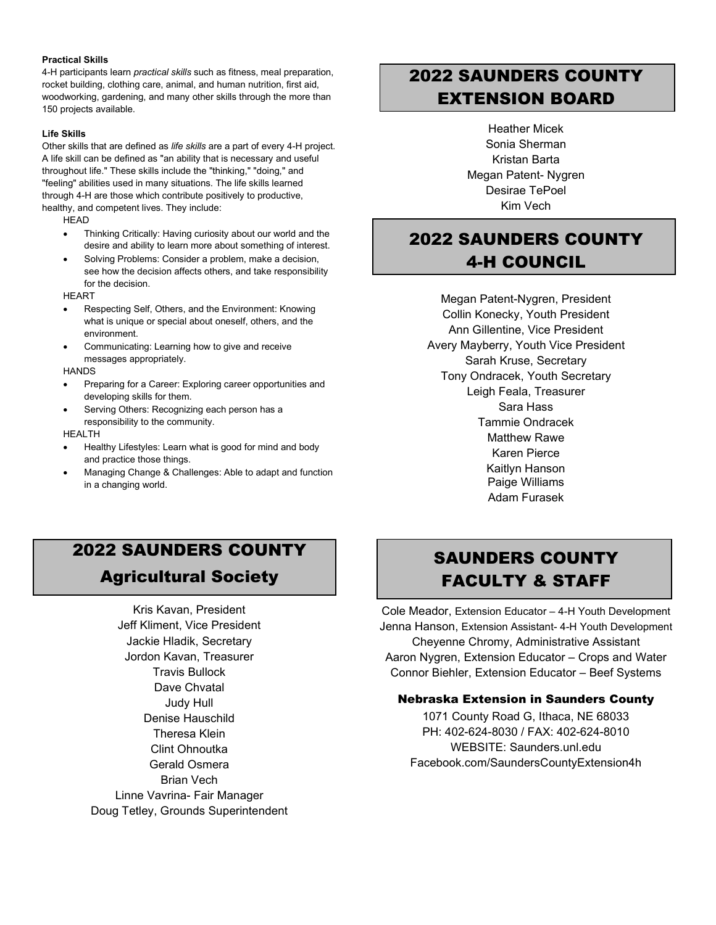#### **Practical Skills**

4-H participants learn *practical skills* such as fitness, meal preparation, rocket building, clothing care, animal, and human nutrition, first aid, woodworking, gardening, and many other skills through the more than 150 projects available.

#### **Life Skills**

Other skills that are defined as *life skills* are a part of every 4-H project. A life skill can be defined as "an ability that is necessary and useful throughout life." These skills include the "thinking," "doing," and "feeling" abilities used in many situations. The life skills learned through 4-H are those which contribute positively to productive, healthy, and competent lives. They include:

**HEAD** 

- Thinking Critically: Having curiosity about our world and the desire and ability to learn more about something of interest.
- Solving Problems: Consider a problem, make a decision, see how the decision affects others, and take responsibility for the decision.

**HEART** 

- Respecting Self, Others, and the Environment: Knowing what is unique or special about oneself, others, and the environment.
- Communicating: Learning how to give and receive messages appropriately.

**HANDS** 

- Preparing for a Career: Exploring career opportunities and developing skills for them.
- Serving Others: Recognizing each person has a responsibility to the community.

#### HEALTH

- Healthy Lifestyles: Learn what is good for mind and body and practice those things.
- Managing Change & Challenges: Able to adapt and function in a changing world.

# 2022 SAUNDERS COUNTY EXTENSION BOARD

Heather Micek Sonia Sherman Kristan Barta Megan Patent- Nygren Desirae TePoel Kim Vech

# 2022 SAUNDERS COUNTY 4-H COUNCIL

Megan Patent-Nygren, President Collin Konecky, Youth President Ann Gillentine, Vice President Avery Mayberry, Youth Vice President Sarah Kruse, Secretary Tony Ondracek, Youth Secretary Leigh Feala, Treasurer Sara Hass Tammie Ondracek Matthew Rawe Karen Pierce Kaitlyn Hanson Paige Williams Adam Furasek

# 2022 SAUNDERS COUNTY Agricultural Society

Kris Kavan, President Jeff Kliment, Vice President Jackie Hladik, Secretary Jordon Kavan, Treasurer Travis Bullock Dave Chvatal Judy Hull Denise Hauschild Theresa Klein Clint Ohnoutka Gerald Osmera Brian Vech Linne Vavrina- Fair Manager Doug Tetley, Grounds Superintendent

# SAUNDERS COUNTY FACULTY & STAFF

Cole Meador, Extension Educator – 4-H Youth Development Jenna Hanson, Extension Assistant- 4-H Youth Development Cheyenne Chromy, Administrative Assistant Aaron Nygren, Extension Educator – Crops and Water Connor Biehler, Extension Educator – Beef Systems

# Nebraska Extension in Saunders County

1071 County Road G, Ithaca, NE 68033 PH: 402-624-8030 / FAX: 402-624-8010 WEBSITE: Saunders.unl.edu Facebook.com/SaundersCountyExtension4h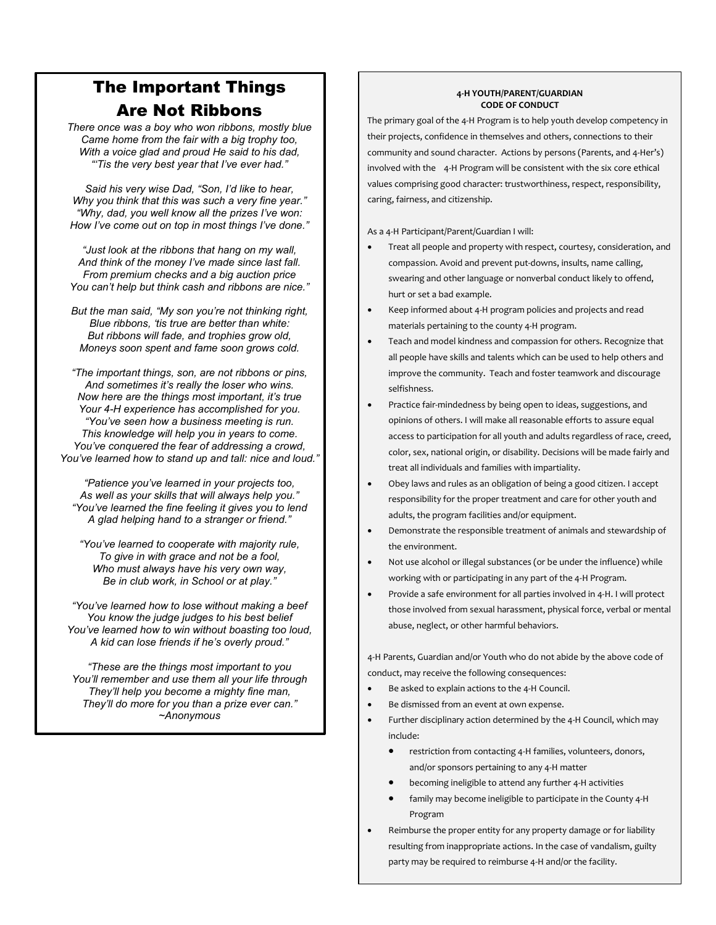# The Important Things Are Not Ribbons

*There once was a boy who won ribbons, mostly blue Came home from the fair with a big trophy too, With a voice glad and proud He said to his dad, "'Tis the very best year that I've ever had."*

*Said his very wise Dad, "Son, I'd like to hear, Why you think that this was such a very fine year." "Why, dad, you well know all the prizes I've won: How I've come out on top in most things I've done."*

*"Just look at the ribbons that hang on my wall, And think of the money I've made since last fall. From premium checks and a big auction price You can't help but think cash and ribbons are nice."*

*But the man said, "My son you're not thinking right, Blue ribbons, 'tis true are better than white: But ribbons will fade, and trophies grow old, Moneys soon spent and fame soon grows cold.*

*"The important things, son, are not ribbons or pins, And sometimes it's really the loser who wins. Now here are the things most important, it's true Your 4-H experience has accomplished for you. "You've seen how a business meeting is run. This knowledge will help you in years to come. You've conquered the fear of addressing a crowd, You've learned how to stand up and tall: nice and loud."*

*"Patience you've learned in your projects too, As well as your skills that will always help you." "You've learned the fine feeling it gives you to lend A glad helping hand to a stranger or friend."*

*"You've learned to cooperate with majority rule, To give in with grace and not be a fool, Who must always have his very own way, Be in club work, in School or at play."*

*"You've learned how to lose without making a beef You know the judge judges to his best belief You've learned how to win without boasting too loud, A kid can lose friends if he's overly proud."*

*"These are the things most important to you You'll remember and use them all your life through They'll help you become a mighty fine man, They'll do more for you than a prize ever can." ~Anonymous*

#### **4-H YOUTH/PARENT/GUARDIAN CODE OF CONDUCT**

The primary goal of the 4-H Program is to help youth develop competency in their projects, confidence in themselves and others, connections to their community and sound character. Actions by persons (Parents, and 4-Her's) involved with the 4-H Program will be consistent with the six core ethical values comprising good character: trustworthiness, respect, responsibility, caring, fairness, and citizenship.

As a 4-H Participant/Parent/Guardian I will:

- Treat all people and property with respect, courtesy, consideration, and compassion. Avoid and prevent put-downs, insults, name calling, swearing and other language or nonverbal conduct likely to offend, hurt or set a bad example.
- Keep informed about 4-H program policies and projects and read materials pertaining to the county 4-H program.
- Teach and model kindness and compassion for others. Recognize that all people have skills and talents which can be used to help others and improve the community. Teach and foster teamwork and discourage selfishness.
- Practice fair-mindedness by being open to ideas, suggestions, and opinions of others. I will make all reasonable efforts to assure equal access to participation for all youth and adults regardless of race, creed, color, sex, national origin, or disability. Decisions will be made fairly and treat all individuals and families with impartiality.
- Obey laws and rules as an obligation of being a good citizen. I accept responsibility for the proper treatment and care for other youth and adults, the program facilities and/or equipment.
- Demonstrate the responsible treatment of animals and stewardship of the environment.
- Not use alcohol or illegal substances (or be under the influence) while working with or participating in any part of the 4-H Program.
- Provide a safe environment for all parties involved in 4-H. I will protect those involved from sexual harassment, physical force, verbal or mental abuse, neglect, or other harmful behaviors.

4-H Parents, Guardian and/or Youth who do not abide by the above code of conduct, may receive the following consequences:

- Be asked to explain actions to the 4-H Council.
- Be dismissed from an event at own expense.
- Further disciplinary action determined by the 4-H Council, which may include:
	- restriction from contacting 4-H families, volunteers, donors, and/or sponsors pertaining to any 4-H matter
	- becoming ineligible to attend any further 4-H activities
	- family may become ineligible to participate in the County 4-H Program
- Reimburse the proper entity for any property damage or for liability resulting from inappropriate actions. In the case of vandalism, guilty party may be required to reimburse 4-H and/or the facility.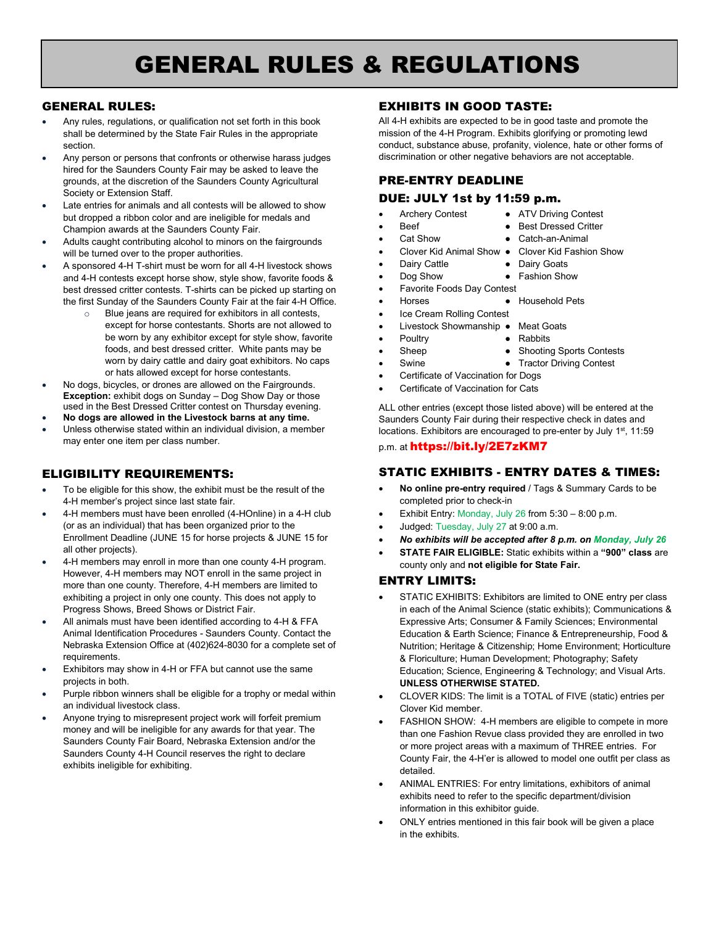# GENERAL RULES & REGULATIONS

#### GENERAL RULES:

- Any rules, regulations, or qualification not set forth in this book shall be determined by the State Fair Rules in the appropriate section.
- Any person or persons that confronts or otherwise harass judges hired for the Saunders County Fair may be asked to leave the grounds, at the discretion of the Saunders County Agricultural Society or Extension Staff.
- Late entries for animals and all contests will be allowed to show but dropped a ribbon color and are ineligible for medals and Champion awards at the Saunders County Fair.
- Adults caught contributing alcohol to minors on the fairgrounds will be turned over to the proper authorities.
- A sponsored 4-H T-shirt must be worn for all 4-H livestock shows and 4-H contests except horse show, style show, favorite foods & best dressed critter contests. T-shirts can be picked up starting on the first Sunday of the Saunders County Fair at the fair 4-H Office.
	- Blue jeans are required for exhibitors in all contests, except for horse contestants. Shorts are not allowed to be worn by any exhibitor except for style show, favorite foods, and best dressed critter. White pants may be worn by dairy cattle and dairy goat exhibitors. No caps or hats allowed except for horse contestants.
- No dogs, bicycles, or drones are allowed on the Fairgrounds. **Exception:** exhibit dogs on Sunday – Dog Show Day or those used in the Best Dressed Critter contest on Thursday evening.
- **No dogs are allowed in the Livestock barns at any time.** Unless otherwise stated within an individual division, a member
- may enter one item per class number.

# ELIGIBILITY REQUIREMENTS:

- To be eligible for this show, the exhibit must be the result of the 4-H member's project since last state fair.
- 4-H members must have been enrolled (4-HOnline) in a 4-H club (or as an individual) that has been organized prior to the Enrollment Deadline (JUNE 15 for horse projects & JUNE 15 for all other projects).
- 4-H members may enroll in more than one county 4-H program. However, 4-H members may NOT enroll in the same project in more than one county. Therefore, 4-H members are limited to exhibiting a project in only one county. This does not apply to Progress Shows, Breed Shows or District Fair.
- All animals must have been identified according to 4-H & FFA Animal Identification Procedures - Saunders County. Contact the Nebraska Extension Office at (402)624-8030 for a complete set of requirements.
- Exhibitors may show in 4-H or FFA but cannot use the same projects in both.
- Purple ribbon winners shall be eligible for a trophy or medal within an individual livestock class.
- Anyone trying to misrepresent project work will forfeit premium money and will be ineligible for any awards for that year. The Saunders County Fair Board, Nebraska Extension and/or the Saunders County 4-H Council reserves the right to declare exhibits ineligible for exhibiting.

# EXHIBITS IN GOOD TASTE:

All 4-H exhibits are expected to be in good taste and promote the mission of the 4-H Program. Exhibits glorifying or promoting lewd conduct, substance abuse, profanity, violence, hate or other forms of discrimination or other negative behaviors are not acceptable.

# PRE-ENTRY DEADLINE

# DUE: JULY 1st by 11:59 p.m.

- Archery Contest ATV Driving Contest **Beef** ● Best Dressed Critter
- 
- Cat Show Catch-an-Animal
- Clover Kid Animal Show Clover Kid Fashion Show
- Dairy Cattle  **Dairy Goats**
- Dog Show Fashion Show
- Favorite Foods Day Contest
- Horses Household Pets
- Ice Cream Rolling Contest
	- Livestock Showmanship Meat Goats
	- Poultry  **Rabbits**
- Sheep Shooting Sports Contests
	-
	- Swine Tractor Driving Contest Certificate of Vaccination for Dogs
- Certificate of Vaccination for Cats

ALL other entries (except those listed above) will be entered at the Saunders County Fair during their respective check in dates and locations. Exhibitors are encouraged to pre-enter by July 1<sup>st</sup>, 11:59

p.m. at <https://bit.ly/2E7zKM7>

### STATIC EXHIBITS - ENTRY DATES & TIMES:

- **No online pre-entry required** / Tags & Summary Cards to be completed prior to check-in
- **•** Exhibit Entry: Monday, July 26 from  $5:30 8:00$  p.m.
- Judged: Tuesday, July 27 at 9:00 a.m.
- *No exhibits will be accepted after 8 p.m. on Monday, July 26*
- **STATE FAIR ELIGIBLE:** Static exhibits within a **"900" class** are county only and **not eligible for State Fair.**

#### ENTRY LIMITS:

- STATIC EXHIBITS: Exhibitors are limited to ONE entry per class in each of the Animal Science (static exhibits); Communications & Expressive Arts; Consumer & Family Sciences; Environmental Education & Earth Science; Finance & Entrepreneurship, Food & Nutrition; Heritage & Citizenship; Home Environment; Horticulture & Floriculture; Human Development; Photography; Safety Education; Science, Engineering & Technology; and Visual Arts. **UNLESS OTHERWISE STATED.**
- CLOVER KIDS: The limit is a TOTAL of FIVE (static) entries per Clover Kid member.
- FASHION SHOW: 4-H members are eligible to compete in more than one Fashion Revue class provided they are enrolled in two or more project areas with a maximum of THREE entries. For County Fair, the 4-H'er is allowed to model one outfit per class as detailed.
- ANIMAL ENTRIES: For entry limitations, exhibitors of animal exhibits need to refer to the specific department/division information in this exhibitor guide.
- ONLY entries mentioned in this fair book will be given a place in the exhibits.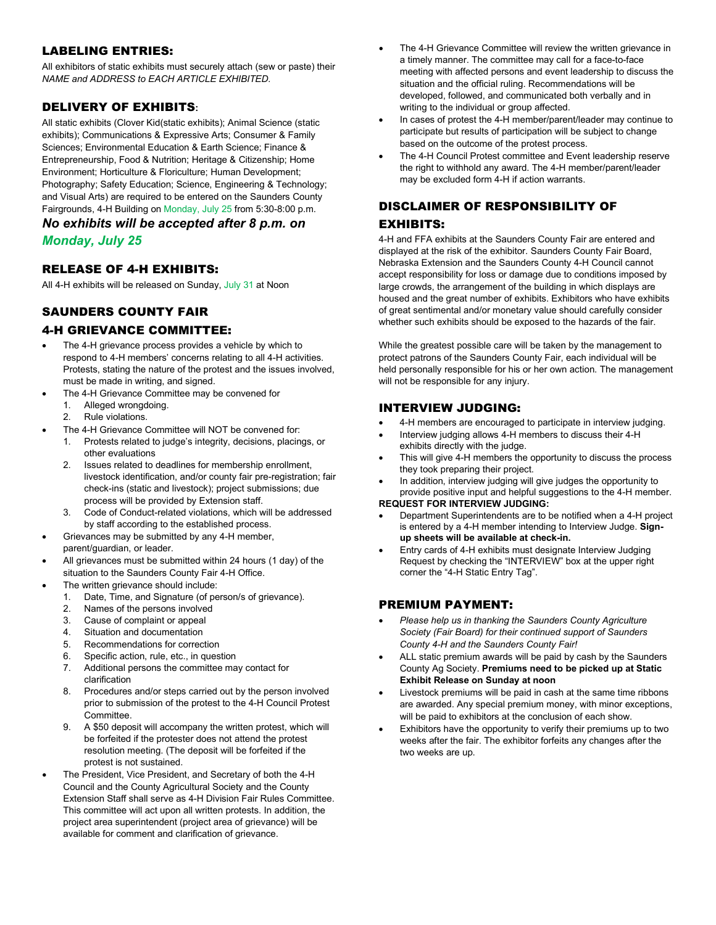## LABELING ENTRIES:

All exhibitors of static exhibits must securely attach (sew or paste) their *NAME and ADDRESS to EACH ARTICLE EXHIBITED.*

## DELIVERY OF EXHIBITS**:**

All static exhibits (Clover Kid(static exhibits); Animal Science (static exhibits); Communications & Expressive Arts; Consumer & Family Sciences; Environmental Education & Earth Science; Finance & Entrepreneurship, Food & Nutrition; Heritage & Citizenship; Home Environment; Horticulture & Floriculture; Human Development; Photography; Safety Education; Science, Engineering & Technology; and Visual Arts) are required to be entered on the Saunders County Fairgrounds, 4-H Building on Monday, July 25 from 5:30-8:00 p.m.

# *No exhibits will be accepted after 8 p.m. on*

*Monday, July 25*

#### RELEASE OF 4-H EXHIBITS:

All 4-H exhibits will be released on Sunday, July 31 at Noon

# SAUNDERS COUNTY FAIR

#### 4-H GRIEVANCE COMMITTEE:

- The 4-H grievance process provides a vehicle by which to respond to 4-H members' concerns relating to all 4-H activities. Protests, stating the nature of the protest and the issues involved, must be made in writing, and signed.
- The 4-H Grievance Committee may be convened for
	- 1. Alleged wrongdoing.
	- 2. Rule violations.
- The 4-H Grievance Committee will NOT be convened for:
	- 1. Protests related to judge's integrity, decisions, placings, or other evaluations
	- 2. Issues related to deadlines for membership enrollment, livestock identification, and/or county fair pre-registration; fair check-ins (static and livestock); project submissions; due process will be provided by Extension staff.
	- 3. Code of Conduct-related violations, which will be addressed by staff according to the established process.
- Grievances may be submitted by any 4-H member, parent/guardian, or leader.
- All grievances must be submitted within 24 hours (1 day) of the situation to the Saunders County Fair 4-H Office.
- The written grievance should include:
	- 1. Date, Time, and Signature (of person/s of grievance).
	- 2. Names of the persons involved
	- 3. Cause of complaint or appeal
	- 4. Situation and documentation
	- 5. Recommendations for correction
	- 6. Specific action, rule, etc., in question
	- 7. Additional persons the committee may contact for clarification
	- 8. Procedures and/or steps carried out by the person involved prior to submission of the protest to the 4-H Council Protest Committee.
	- 9. A \$50 deposit will accompany the written protest, which will be forfeited if the protester does not attend the protest resolution meeting. (The deposit will be forfeited if the protest is not sustained.
- The President, Vice President, and Secretary of both the 4-H Council and the County Agricultural Society and the County Extension Staff shall serve as 4-H Division Fair Rules Committee. This committee will act upon all written protests. In addition, the project area superintendent (project area of grievance) will be available for comment and clarification of grievance.
- The 4-H Grievance Committee will review the written grievance in a timely manner. The committee may call for a face-to-face meeting with affected persons and event leadership to discuss the situation and the official ruling. Recommendations will be developed, followed, and communicated both verbally and in writing to the individual or group affected.
- In cases of protest the 4-H member/parent/leader may continue to participate but results of participation will be subject to change based on the outcome of the protest process.
- The 4-H Council Protest committee and Event leadership reserve the right to withhold any award. The 4-H member/parent/leader may be excluded form 4-H if action warrants.

## DISCLAIMER OF RESPONSIBILITY OF

#### EXHIBITS:

4-H and FFA exhibits at the Saunders County Fair are entered and displayed at the risk of the exhibitor. Saunders County Fair Board, Nebraska Extension and the Saunders County 4-H Council cannot accept responsibility for loss or damage due to conditions imposed by large crowds, the arrangement of the building in which displays are housed and the great number of exhibits. Exhibitors who have exhibits of great sentimental and/or monetary value should carefully consider whether such exhibits should be exposed to the hazards of the fair.

While the greatest possible care will be taken by the management to protect patrons of the Saunders County Fair, each individual will be held personally responsible for his or her own action. The management will not be responsible for any injury.

### INTERVIEW JUDGING:

- 4-H members are encouraged to participate in interview judging.
- Interview judging allows 4-H members to discuss their 4-H exhibits directly with the judge.
- This will give 4-H members the opportunity to discuss the process they took preparing their project.
- In addition, interview judging will give judges the opportunity to provide positive input and helpful suggestions to the 4-H member. **REQUEST FOR INTERVIEW JUDGING:**
- Department Superintendents are to be notified when a 4-H project is entered by a 4-H member intending to Interview Judge. **Signup sheets will be available at check-in.**
- Entry cards of 4-H exhibits must designate Interview Judging Request by checking the "INTERVIEW" box at the upper right corner the "4-H Static Entry Tag".

### PREMIUM PAYMENT:

- *Please help us in thanking the Saunders County Agriculture Society (Fair Board) for their continued support of Saunders County 4-H and the Saunders County Fair!*
- ALL static premium awards will be paid by cash by the Saunders County Ag Society. **Premiums need to be picked up at Static Exhibit Release on Sunday at noon**
- Livestock premiums will be paid in cash at the same time ribbons are awarded. Any special premium money, with minor exceptions, will be paid to exhibitors at the conclusion of each show.
- Exhibitors have the opportunity to verify their premiums up to two weeks after the fair. The exhibitor forfeits any changes after the two weeks are up.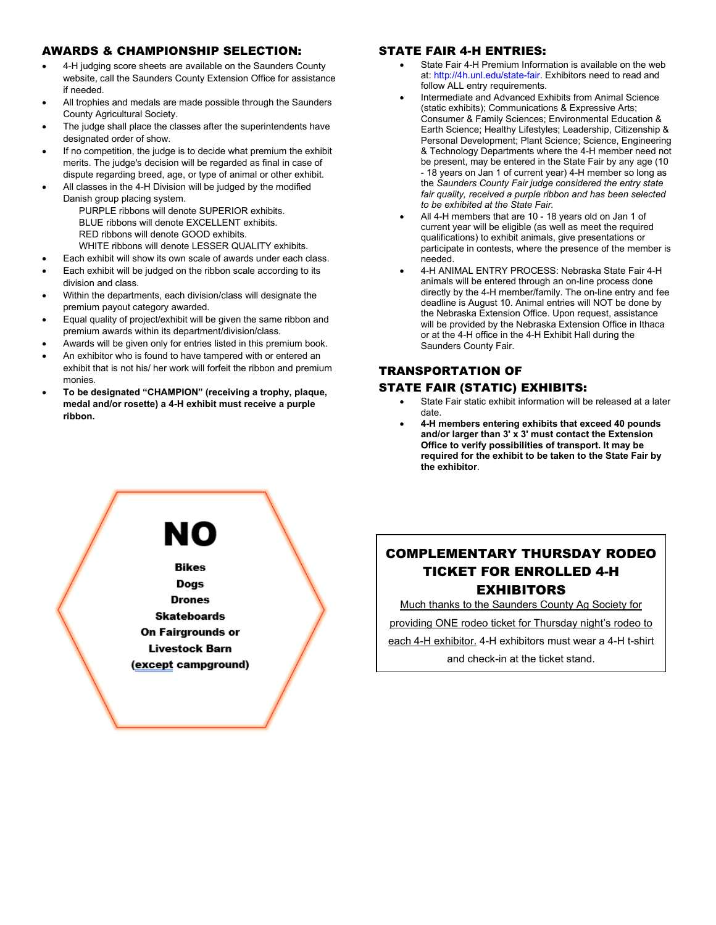#### AWARDS & CHAMPIONSHIP SELECTION:

- 4-H judging score sheets are available on the Saunders County website, call the Saunders County Extension Office for assistance if needed.
- All trophies and medals are made possible through the Saunders County Agricultural Society.
- The judge shall place the classes after the superintendents have designated order of show.
- If no competition, the judge is to decide what premium the exhibit merits. The judge's decision will be regarded as final in case of dispute regarding breed, age, or type of animal or other exhibit.
- All classes in the 4-H Division will be judged by the modified Danish group placing system.
	- PURPLE ribbons will denote SUPERIOR exhibits. BLUE ribbons will denote EXCELLENT exhibits. RED ribbons will denote GOOD exhibits. WHITE ribbons will denote LESSER QUALITY exhibits.

Each exhibit will show its own scale of awards under each class.

- Each exhibit will be judged on the ribbon scale according to its division and class.
- Within the departments, each division/class will designate the premium payout category awarded.
- Equal quality of project/exhibit will be given the same ribbon and premium awards within its department/division/class.
- Awards will be given only for entries listed in this premium book.
- An exhibitor who is found to have tampered with or entered an exhibit that is not his/ her work will forfeit the ribbon and premium monies.
- **To be designated "CHAMPION" (receiving a trophy, plaque, medal and/or rosette) a 4-H exhibit must receive a purple ribbon.**

#### STATE FAIR 4-H ENTRIES:

- State Fair 4-H Premium Information is available on the web at: [http://4h.unl.edu/state-fair.](http://4h.unl.edu/state-fair) Exhibitors need to read and follow ALL entry requirements.
- Intermediate and Advanced Exhibits from Animal Science (static exhibits); Communications & Expressive Arts; Consumer & Family Sciences; Environmental Education & Earth Science; Healthy Lifestyles; Leadership, Citizenship & Personal Development; Plant Science; Science, Engineering & Technology Departments where the 4-H member need not be present, may be entered in the State Fair by any age (10 - 18 years on Jan 1 of current year) 4-H member so long as the *Saunders County Fair judge considered the entry state fair quality, received a purple ribbon and has been selected to be exhibited at the State Fair.*
- All 4-H members that are 10 18 years old on Jan 1 of current year will be eligible (as well as meet the required qualifications) to exhibit animals, give presentations or participate in contests, where the presence of the member is needed.
- 4-H ANIMAL ENTRY PROCESS: Nebraska State Fair 4-H animals will be entered through an on-line process done directly by the 4-H member/family. The on-line entry and fee deadline is August 10. Animal entries will NOT be done by the Nebraska Extension Office. Upon request, assistance will be provided by the Nebraska Extension Office in Ithaca or at the 4-H office in the 4-H Exhibit Hall during the Saunders County Fair.

## TRANSPORTATION OF

#### STATE FAIR (STATIC) EXHIBITS:

- State Fair static exhibit information will be released at a later date.
- **4-H members entering exhibits that exceed 40 pounds and/or larger than 3' x 3' must contact the Extension Office to verify possibilities of transport. It may be required for the exhibit to be taken to the State Fair by the exhibitor**.



# COMPLEMENTARY THURSDAY RODEO TICKET FOR ENROLLED 4-H EXHIBITORS

Much thanks to the Saunders County Ag Society for

providing ONE rodeo ticket for Thursday night's rodeo to

each 4-H exhibitor. 4-H exhibitors must wear a 4-H t-shirt and check-in at the ticket stand.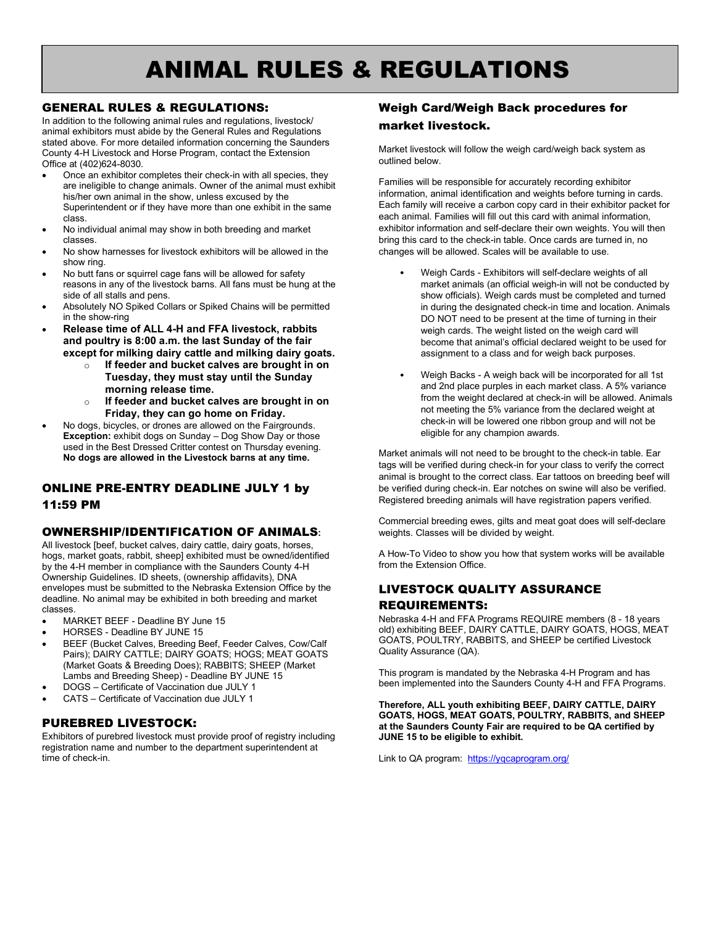# ANIMAL RULES & REGULATIONS

#### GENERAL RULES & REGULATIONS:

In addition to the following animal rules and regulations, livestock/ animal exhibitors must abide by the General Rules and Regulations stated above. For more detailed information concerning the Saunders County 4-H Livestock and Horse Program, contact the Extension Office at (402)624-8030.

- Once an exhibitor completes their check-in with all species, they are ineligible to change animals. Owner of the animal must exhibit his/her own animal in the show, unless excused by the Superintendent or if they have more than one exhibit in the same class.
- No individual animal may show in both breeding and market classes.
- No show harnesses for livestock exhibitors will be allowed in the show ring.
- No butt fans or squirrel cage fans will be allowed for safety reasons in any of the livestock barns. All fans must be hung at the side of all stalls and pens.
- Absolutely NO Spiked Collars or Spiked Chains will be permitted in the show-ring
- **Release time of ALL 4-H and FFA livestock, rabbits and poultry is 8:00 a.m. the last Sunday of the fair except for milking dairy cattle and milking dairy goats.** 
	- o **If feeder and bucket calves are brought in on Tuesday, they must stay until the Sunday morning release time.**
	- o **If feeder and bucket calves are brought in on Friday, they can go home on Friday.**
- No dogs, bicycles, or drones are allowed on the Fairgrounds. **Exception:** exhibit dogs on Sunday – Dog Show Day or those used in the Best Dressed Critter contest on Thursday evening. **No dogs are allowed in the Livestock barns at any time.**

# ONLINE PRE-ENTRY DEADLINE JULY 1 by 11:59 PM

#### OWNERSHIP/IDENTIFICATION OF ANIMALS**:**

All livestock [beef, bucket calves, dairy cattle, dairy goats, horses, hogs, market goats, rabbit, sheep] exhibited must be owned/identified by the 4-H member in compliance with the Saunders County 4-H Ownership Guidelines. ID sheets, (ownership affidavits), DNA envelopes must be submitted to the Nebraska Extension Office by the deadline. No animal may be exhibited in both breeding and market classes.

- MARKET BEEF Deadline BY June 15
- HORSES Deadline BY JUNE 15
- BEEF (Bucket Calves, Breeding Beef, Feeder Calves, Cow/Calf Pairs); DAIRY CATTLE; DAIRY GOATS; HOGS; MEAT GOATS (Market Goats & Breeding Does); RABBITS; SHEEP (Market Lambs and Breeding Sheep) - Deadline BY JUNE 15
- DOGS Certificate of Vaccination due JULY 1
- CATS Certificate of Vaccination due JULY 1

### PUREBRED LIVESTOCK:

Exhibitors of purebred livestock must provide proof of registry including registration name and number to the department superintendent at time of check-in.

# Weigh Card/Weigh Back procedures for market livestock.

Market livestock will follow the weigh card/weigh back system as outlined below.

Families will be responsible for accurately recording exhibitor information, animal identification and weights before turning in cards. Each family will receive a carbon copy card in their exhibitor packet for each animal. Families will fill out this card with animal information, exhibitor information and self-declare their own weights. You will then bring this card to the check-in table. Once cards are turned in, no changes will be allowed. Scales will be available to use.

- Weigh Cards Exhibitors will self-declare weights of all market animals (an official weigh-in will not be conducted by show officials). Weigh cards must be completed and turned in during the designated check-in time and location. Animals DO NOT need to be present at the time of turning in their weigh cards. The weight listed on the weigh card will become that animal's official declared weight to be used for assignment to a class and for weigh back purposes.
- Weigh Backs A weigh back will be incorporated for all 1st and 2nd place purples in each market class. A 5% variance from the weight declared at check-in will be allowed. Animals not meeting the 5% variance from the declared weight at check-in will be lowered one ribbon group and will not be eligible for any champion awards.

Market animals will not need to be brought to the check-in table. Ear tags will be verified during check-in for your class to verify the correct animal is brought to the correct class. Ear tattoos on breeding beef will be verified during check-in. Ear notches on swine will also be verified. Registered breeding animals will have registration papers verified.

Commercial breeding ewes, gilts and meat goat does will self-declare weights. Classes will be divided by weight.

A How-To Video to show you how that system works will be available from the Extension Office.

# LIVESTOCK QUALITY ASSURANCE REQUIREMENTS:

Nebraska 4-H and FFA Programs REQUIRE members (8 - 18 years old) exhibiting BEEF, DAIRY CATTLE, DAIRY GOATS, HOGS, MEAT GOATS, POULTRY, RABBITS, and SHEEP be certified Livestock Quality Assurance (QA).

This program is mandated by the Nebraska 4-H Program and has been implemented into the Saunders County 4-H and FFA Programs.

**Therefore, ALL youth exhibiting BEEF, DAIRY CATTLE, DAIRY GOATS, HOGS, MEAT GOATS, POULTRY, RABBITS, and SHEEP at the Saunders County Fair are required to be QA certified by JUNE 15 to be eligible to exhibit.**

Link to QA program: <https://yqcaprogram.org/>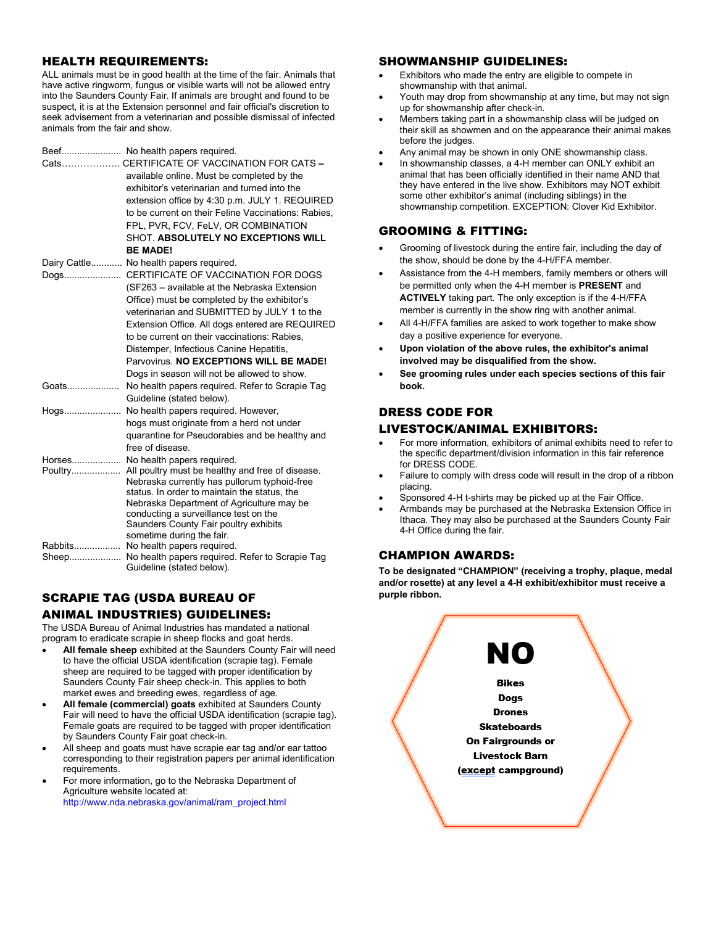#### HEALTH REQUIREMENTS:

ALL animals must be in good health at the time of the fair. Animals that have active ringworm, fungus or visible warts will not be allowed entry into the Saunders County Fair. If animals are brought and found to be suspect, it is at the Extension personnel and fair official's discretion to seek advisement from a veterinarian and possible dismissal of infected animals from the fair and show.

|       | Beef No health papers required.                                                    |
|-------|------------------------------------------------------------------------------------|
|       | Cats CERTIFICATE OF VACCINATION FOR CATS -                                         |
|       | available online. Must be completed by the                                         |
|       | exhibitor's veterinarian and turned into the                                       |
|       | extension office by 4:30 p.m. JULY 1. REQUIRED                                     |
|       | to be current on their Feline Vaccinations: Rabies.                                |
|       | FPL, PVR, FCV, FeLV, OR COMBINATION                                                |
|       | SHOT. ABSOLUTELY NO EXCEPTIONS WILL                                                |
|       | <b>BE MADE!</b>                                                                    |
|       | Dairy Cattle No health papers required.                                            |
|       | Dogs CERTIFICATE OF VACCINATION FOR DOGS                                           |
|       | (SF263 - available at the Nebraska Extension                                       |
|       | Office) must be completed by the exhibitor's                                       |
|       | veterinarian and SUBMITTED by JULY 1 to the                                        |
|       | Extension Office. All dogs entered are REQUIRED                                    |
|       | to be current on their vaccinations: Rabies,                                       |
|       | Distemper, Infectious Canine Hepatitis,                                            |
|       | Parvovirus. NO EXCEPTIONS WILL BE MADE!                                            |
|       | Dogs in season will not be allowed to show.                                        |
| Goats | No health papers required. Refer to Scrapie Tag                                    |
|       | Guideline (stated below).                                                          |
| Hogs  | No health papers required. However,                                                |
|       | hogs must originate from a herd not under                                          |
|       | quarantine for Pseudorabies and be healthy and                                     |
|       | free of disease.                                                                   |
|       | Horses No health papers required.                                                  |
|       | Poultry All poultry must be healthy and free of disease.                           |
|       | Nebraska currently has pullorum typhoid-free                                       |
|       | status. In order to maintain the status, the                                       |
|       | Nebraska Department of Agriculture may be<br>conducting a surveillance test on the |
|       | Saunders County Fair poultry exhibits                                              |
|       | sometime during the fair.                                                          |
|       | Rabbits No health papers required.                                                 |
|       | Sheep No health papers required. Refer to Scrapie Tag                              |
|       | Guideline (stated below).                                                          |

## SCRAPIE TAG (USDA BUREAU OF ANIMAL INDUSTRIES) GUIDELINES:

The USDA Bureau of Animal Industries has mandated a national program to eradicate scrapie in sheep flocks and goat herds.

- **All female sheep** exhibited at the Saunders County Fair will need to have the official USDA identification (scrapie tag). Female sheep are required to be tagged with proper identification by Saunders County Fair sheep check-in. This applies to both market ewes and breeding ewes, regardless of age.
- **All female (commercial) goats** exhibited at Saunders County Fair will need to have the official USDA identification (scrapie tag). Female goats are required to be tagged with proper identification by Saunders County Fair goat check-in.
- All sheep and goats must have scrapie ear tag and/or ear tattoo corresponding to their registration papers per animal identification requirements.
- For more information, go to the Nebraska Department of Agriculture website located at: [http://www.nda.nebraska.gov/animal/ram\\_project.html](http://www.nda.nebraska.gov/animal/ram_project.html)

#### SHOWMANSHIP GUIDELINES:

- Exhibitors who made the entry are eligible to compete in showmanship with that animal.
- Youth may drop from showmanship at any time, but may not sign up for showmanship after check-in.
- Members taking part in a showmanship class will be judged on their skill as showmen and on the appearance their animal makes before the judges.
- Any animal may be shown in only ONE showmanship class.
- In showmanship classes, a 4-H member can ONLY exhibit an animal that has been officially identified in their name AND that they have entered in the live show. Exhibitors may NOT exhibit some other exhibitor's animal (including siblings) in the showmanship competition. EXCEPTION: Clover Kid Exhibitor.

### GROOMING & FITTING:

- Grooming of livestock during the entire fair, including the day of the show, should be done by the 4-H/FFA member.
- Assistance from the 4-H members, family members or others will be permitted only when the 4-H member is **PRESENT** and **ACTIVELY** taking part. The only exception is if the 4-H/FFA member is currently in the show ring with another animal.
- All 4-H/FFA families are asked to work together to make show day a positive experience for everyone.
- **Upon violation of the above rules, the exhibitor's animal involved may be disqualified from the show.**
- **See grooming rules under each species sections of this fair book.**

#### DRESS CODE FOR

#### LIVESTOCK/ANIMAL EXHIBITORS:

- For more information, exhibitors of animal exhibits need to refer to the specific department/division information in this fair reference for DRESS CODE.
- Failure to comply with dress code will result in the drop of a ribbon placing.
- Sponsored 4-H t-shirts may be picked up at the Fair Office.
- Armbands may be purchased at the Nebraska Extension Office in Ithaca. They may also be purchased at the Saunders County Fair 4-H Office during the fair.

### CHAMPION AWARDS:

**To be designated "CHAMPION" (receiving a trophy, plaque, medal and/or rosette) at any level a 4-H exhibit/exhibitor must receive a purple ribbon.**

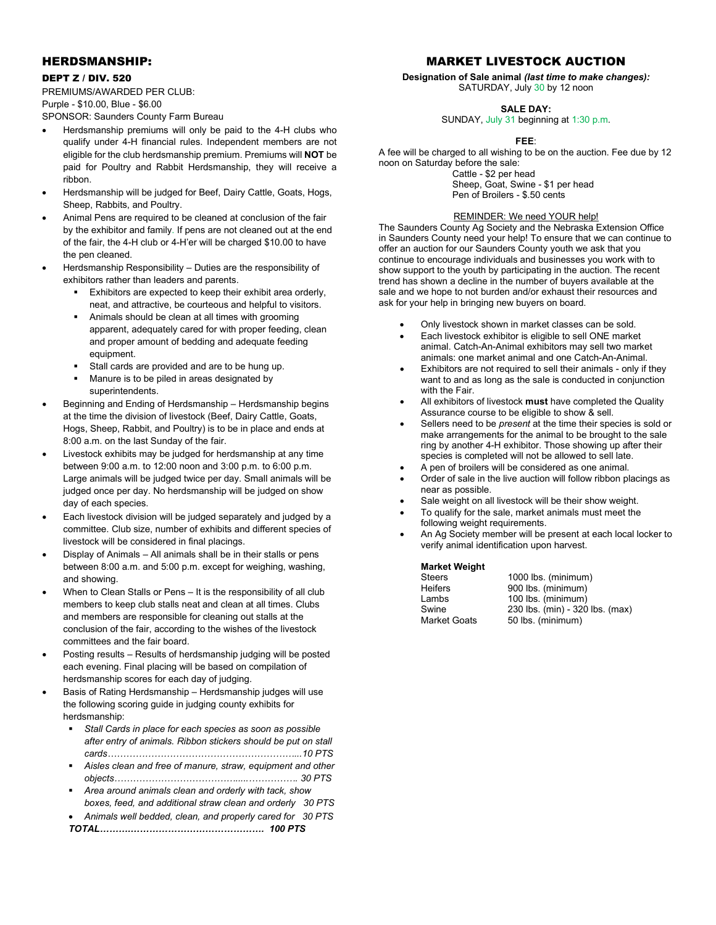#### HERDSMANSHIP:

#### DEPT Z / DIV. 520

PREMIUMS/AWARDED PER CLUB: Purple - \$10.00, Blue - \$6.00

SPONSOR: Saunders County Farm Bureau

- Herdsmanship premiums will only be paid to the 4-H clubs who qualify under 4-H financial rules. Independent members are not eligible for the club herdsmanship premium. Premiums will **NOT** be paid for Poultry and Rabbit Herdsmanship, they will receive a ribbon.
- Herdsmanship will be judged for Beef, Dairy Cattle, Goats, Hogs, Sheep, Rabbits, and Poultry.
- Animal Pens are required to be cleaned at conclusion of the fair by the exhibitor and family. If pens are not cleaned out at the end of the fair, the 4-H club or 4-H'er will be charged \$10.00 to have the pen cleaned.
- Herdsmanship Responsibility Duties are the responsibility of exhibitors rather than leaders and parents.
	- Exhibitors are expected to keep their exhibit area orderly, neat, and attractive, be courteous and helpful to visitors.
	- Animals should be clean at all times with grooming apparent, adequately cared for with proper feeding, clean and proper amount of bedding and adequate feeding equipment.
	- Stall cards are provided and are to be hung up.
	- Manure is to be piled in areas designated by superintendents.
- Beginning and Ending of Herdsmanship Herdsmanship begins at the time the division of livestock (Beef, Dairy Cattle, Goats, Hogs, Sheep, Rabbit, and Poultry) is to be in place and ends at 8:00 a.m. on the last Sunday of the fair.
- Livestock exhibits may be judged for herdsmanship at any time between 9:00 a.m. to 12:00 noon and 3:00 p.m. to 6:00 p.m. Large animals will be judged twice per day. Small animals will be judged once per day. No herdsmanship will be judged on show day of each species.
- Each livestock division will be judged separately and judged by a committee. Club size, number of exhibits and different species of livestock will be considered in final placings.
- Display of Animals All animals shall be in their stalls or pens between 8:00 a.m. and 5:00 p.m. except for weighing, washing, and showing.
- When to Clean Stalls or Pens It is the responsibility of all club members to keep club stalls neat and clean at all times. Clubs and members are responsible for cleaning out stalls at the conclusion of the fair, according to the wishes of the livestock committees and the fair board.
- Posting results Results of herdsmanship judging will be posted each evening. Final placing will be based on compilation of herdsmanship scores for each day of judging.
- Basis of Rating Herdsmanship Herdsmanship judges will use the following scoring guide in judging county exhibits for herdsmanship:
	- *Stall Cards in place for each species as soon as possible after entry of animals. Ribbon stickers should be put on stall cards……………………………………………………...10 PTS*
	- *Aisles clean and free of manure, straw, equipment and other objects………………………………….....……………. 30 PTS*
	- *Area around animals clean and orderly with tack, show boxes, feed, and additional straw clean and orderly 30 PTS*
	- *Animals well bedded, clean, and properly cared for 30 PTS TOTAL……….……………………………………. 100 PTS*

## MARKET LIVESTOCK AUCTION

**Designation of Sale animal** *(last time to make changes):* SATURDAY, July 30 by 12 noon

#### **SALE DAY:**

SUNDAY, July 31 beginning at 1:30 p.m.

#### **FEE**:

A fee will be charged to all wishing to be on the auction. Fee due by 12 noon on Saturday before the sale: Cattle - \$2 per head Sheep, Goat, Swine - \$1 per head

Pen of Broilers - \$.50 cents

#### REMINDER: We need YOUR help!

The Saunders County Ag Society and the Nebraska Extension Office in Saunders County need your help! To ensure that we can continue to offer an auction for our Saunders County youth we ask that you continue to encourage individuals and businesses you work with to show support to the youth by participating in the auction. The recent trend has shown a decline in the number of buyers available at the sale and we hope to not burden and/or exhaust their resources and ask for your help in bringing new buyers on board.

- Only livestock shown in market classes can be sold.
- Each livestock exhibitor is eligible to sell ONE market animal. Catch-An-Animal exhibitors may sell two market animals: one market animal and one Catch-An-Animal.
- Exhibitors are not required to sell their animals only if they want to and as long as the sale is conducted in conjunction with the Fair.
- All exhibitors of livestock **must** have completed the Quality Assurance course to be eligible to show & sell.
- Sellers need to be *present* at the time their species is sold or make arrangements for the animal to be brought to the sale ring by another 4-H exhibitor. Those showing up after their species is completed will not be allowed to sell late.
- A pen of broilers will be considered as one animal.
- Order of sale in the live auction will follow ribbon placings as near as possible.
- Sale weight on all livestock will be their show weight.
- To qualify for the sale, market animals must meet the following weight requirements.
- An Ag Society member will be present at each local locker to verify animal identification upon harvest.

#### **Market Weight**

| <b>Steers</b>       | 1000 lbs. (minimum)             |
|---------------------|---------------------------------|
| <b>Heifers</b>      | 900 lbs. (minimum)              |
| Lambs               | 100 lbs. (minimum)              |
| Swine               | 230 lbs. (min) - 320 lbs. (max) |
| <b>Market Goats</b> | 50 lbs. (minimum)               |